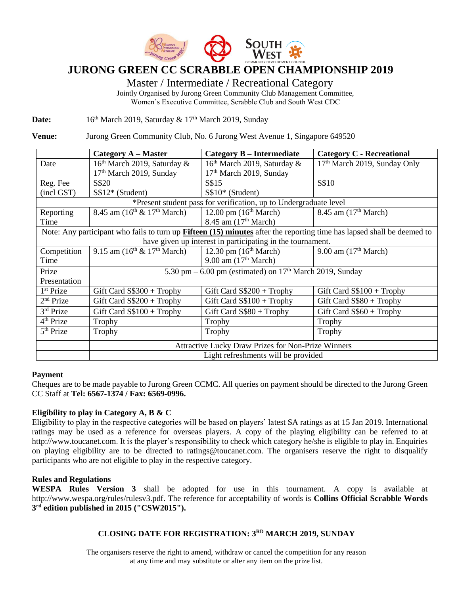

# **JURONG GREEN CC SCRABBLE OPEN CHAMPIONSHIP 2019**

Master / Intermediate / Recreational Category

Jointly Organised by Jurong Green Community Club Management Committee, Women's Executive Committee, Scrabble Club and South West CDC

Date: 16<sup>th</sup> March 2019, Saturday & 17<sup>th</sup> March 2019, Sunday

**Venue:** Jurong Green Community Club, No. 6 Jurong West Avenue 1, Singapore 649520

|                                                                                                                               | Category A – Master                                         | <b>Category B – Intermediate</b>        | <b>Category C - Recreational</b>         |  |  |  |
|-------------------------------------------------------------------------------------------------------------------------------|-------------------------------------------------------------|-----------------------------------------|------------------------------------------|--|--|--|
| Date                                                                                                                          | $16th$ March 2019, Saturday &                               | 16 <sup>th</sup> March 2019, Saturday & | 17 <sup>th</sup> March 2019, Sunday Only |  |  |  |
|                                                                                                                               | 17 <sup>th</sup> March 2019, Sunday                         | 17 <sup>th</sup> March 2019, Sunday     |                                          |  |  |  |
| Reg. Fee                                                                                                                      | S\$20                                                       | S\$15                                   | S\$10                                    |  |  |  |
| (incl GST)                                                                                                                    | S\$12* (Student)                                            | $S$10*$ (Student)                       |                                          |  |  |  |
| *Present student pass for verification, up to Undergraduate level                                                             |                                                             |                                         |                                          |  |  |  |
| Reporting                                                                                                                     | 8.45 am $(16^{th} \& 17^{th}$ March)                        | 12.00 pm $(16th March)$                 | 8.45 am $(17th March)$                   |  |  |  |
| Time                                                                                                                          |                                                             | 8.45 am $(17th March)$                  |                                          |  |  |  |
| Note: Any participant who fails to turn up <b>Fifteen</b> (15) minutes after the reporting time has lapsed shall be deemed to |                                                             |                                         |                                          |  |  |  |
| have given up interest in participating in the tournament.                                                                    |                                                             |                                         |                                          |  |  |  |
| Competition                                                                                                                   | 9.15 am $(16^{th} \& 17^{th} \text{ March})$                | 12.30 pm $(16th March)$                 | 9.00 am $(17th March)$                   |  |  |  |
| Time                                                                                                                          |                                                             | 9.00 am $(17th March)$                  |                                          |  |  |  |
| Prize                                                                                                                         | 5.30 pm $-6.00$ pm (estimated) on $17th$ March 2019, Sunday |                                         |                                          |  |  |  |
| Presentation                                                                                                                  |                                                             |                                         |                                          |  |  |  |
| 1 <sup>st</sup> Prize                                                                                                         | Gift Card $S\$300 + Trophy$                                 | Gift Card $S$200 + Trophy$              | Gift Card $S$100 + Trophy$               |  |  |  |
| $2nd$ Prize                                                                                                                   | Gift Card $S$200 + Trophy$                                  | Gift Card $S$100 + Trophy$              | Gift Card $S$ \$80 + Trophy              |  |  |  |
| 3rd Prize                                                                                                                     | Gift Card $S$100 + Trophy$                                  | Gift Card S\$80 + Trophy                | Gift Card $S\$ 60 + Trophy               |  |  |  |
| $4th$ Prize                                                                                                                   | Trophy                                                      | Trophy                                  | Trophy                                   |  |  |  |
| 5 <sup>th</sup> Prize                                                                                                         | Trophy                                                      | Trophy                                  | Trophy                                   |  |  |  |
|                                                                                                                               | <b>Attractive Lucky Draw Prizes for Non-Prize Winners</b>   |                                         |                                          |  |  |  |
|                                                                                                                               | Light refreshments will be provided                         |                                         |                                          |  |  |  |

### **Payment**

Cheques are to be made payable to Jurong Green CCMC. All queries on payment should be directed to the Jurong Green CC Staff at **Tel: 6567-1374 / Fax: 6569-0996.**

### **Eligibility to play in Category A, B & C**

Eligibility to play in the respective categories will be based on players' latest SA ratings as at 15 Jan 2019. International ratings may be used as a reference for overseas players. A copy of the playing eligibility can be referred to at [http://www.toucanet.com.](http://www.toucanet.com/) It is the player's responsibility to check which category he/she is eligible to play in. Enquiries on playing eligibility are to be directed to [ratings@toucanet.com.](mailto:ratings@toucanet.com) The organisers reserve the right to disqualify participants who are not eligible to play in the respective category.

### **Rules and Regulations**

**WESPA Rules Version 3** shall be adopted for use in this tournament. A copy is available at http://www.wespa.org/rules/rulesv3.pdf. The reference for acceptability of words is **Collins Official Scrabble Words 3 rd edition published in 2015 ("CSW2015").**

### **CLOSING DATE FOR REGISTRATION: 3 RD MARCH 2019, SUNDAY**

The organisers reserve the right to amend, withdraw or cancel the competition for any reason at any time and may substitute or alter any item on the prize list.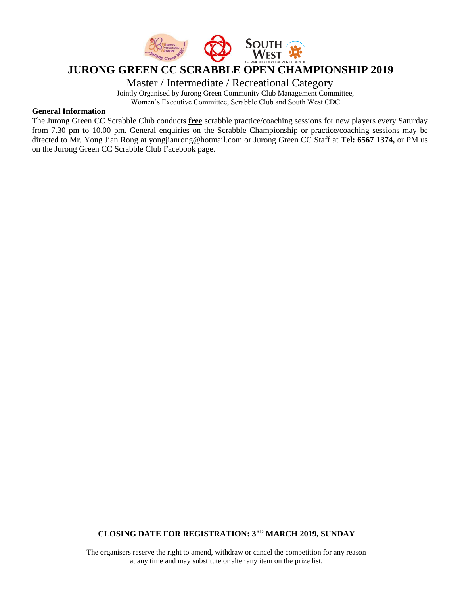

### **JURONG GREEN CC SCRABBLE OPEN CHAMPIONSHIP 2019**

Master / Intermediate / Recreational Category

Jointly Organised by Jurong Green Community Club Management Committee,

Women's Executive Committee, Scrabble Club and South West CDC

### **General Information**

The Jurong Green CC Scrabble Club conducts **free** scrabble practice/coaching sessions for new players every Saturday from 7.30 pm to 10.00 pm. General enquiries on the Scrabble Championship or practice/coaching sessions may be directed to Mr. Yong Jian Rong at yongjianrong@hotmail.com or Jurong Green CC Staff at **Tel: 6567 1374,** or PM us on the Jurong Green CC Scrabble Club Facebook page.

### **CLOSING DATE FOR REGISTRATION: 3 RD MARCH 2019, SUNDAY**

The organisers reserve the right to amend, withdraw or cancel the competition for any reason at any time and may substitute or alter any item on the prize list.